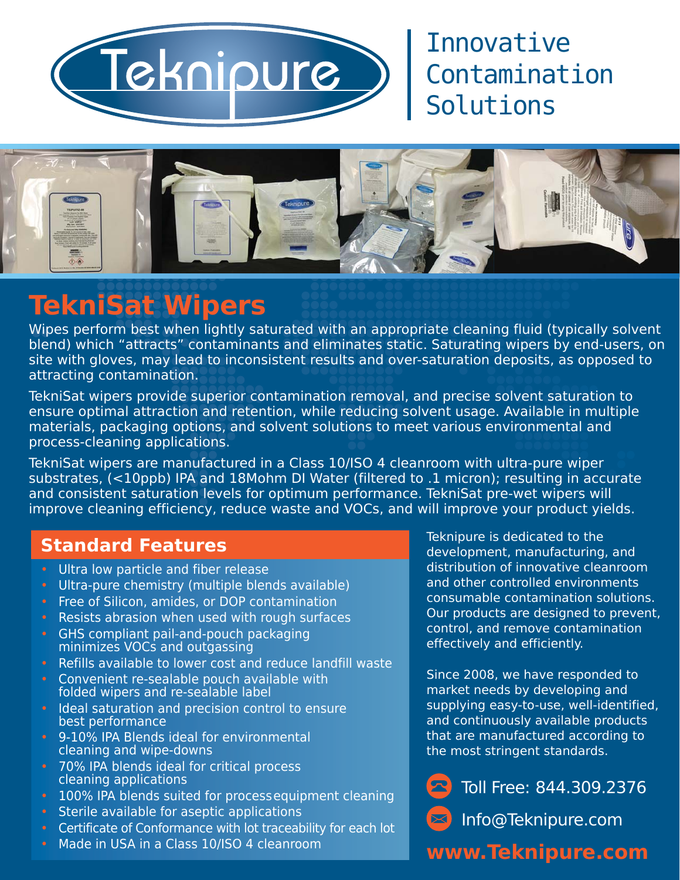

## Innovative Contamination Solutions



# **TekniSat Wipers**

Wipes perform best when lightly saturated with an appropriate cleaning fluid (typically solvent blend) which "attracts" contaminants and eliminates static. Saturating wipers by end-users, on site with gloves, may lead to inconsistent results and over-saturation deposits, as opposed to attracting contamination.

TekniSat wipers provide superior contamination removal, and precise solvent saturation to ensure optimal attraction and retention, while reducing solvent usage. Available in multiple materials, packaging options, and solvent solutions to meet various environmental and process-cleaning applications.

TekniSat wipers are manufactured in a Class 10/ISO 4 cleanroom with ultra-pure wiper substrates, (<10ppb) IPA and 18Mohm DI Water (filtered to .1 micron); resulting in accurate and consistent saturation levels for optimum performance. TekniSat pre-wet wipers will improve cleaning efficiency, reduce waste and VOCs, and will improve your product yields.

#### **Standard Features**

- Ultra low particle and fiber release
- Ultra-pure chemistry (multiple blends available)
- Free of Silicon, amides, or DOP contamination
- Resists abrasion when used with rough surfaces
- GHS compliant pail-and-pouch packaging minimizes VOCs and outgassing
- Refills available to lower cost and reduce landfill waste
- Convenient re-sealable pouch available with folded wipers and re-sealable label
- Ideal saturation and precision control to ensure best performance
- 9-10% IPA Blends ideal for environmental cleaning and wipe-downs
- 70% IPA blends ideal for critical process cleaning applications
- 100% IPA blends suited for process equipment cleaning
- Sterile available for aseptic applications
- Certificate of Conformance with lot traceability for each lot
- Made in USA in a Class 10/ISO 4 cleanroom

Teknipure is dedicated to the development, manufacturing, and distribution of innovative cleanroom and other controlled environments consumable contamination solutions. Our products are designed to prevent, control, and remove contamination effectively and efficiently.

Since 2008, we have responded to market needs by developing and supplying easy-to-use, well-identified, and continuously available products that are manufactured according to the most stringent standards.



 $\ket{\times}$ Info@Teknipure.com

#### **www.Teknipure.com**